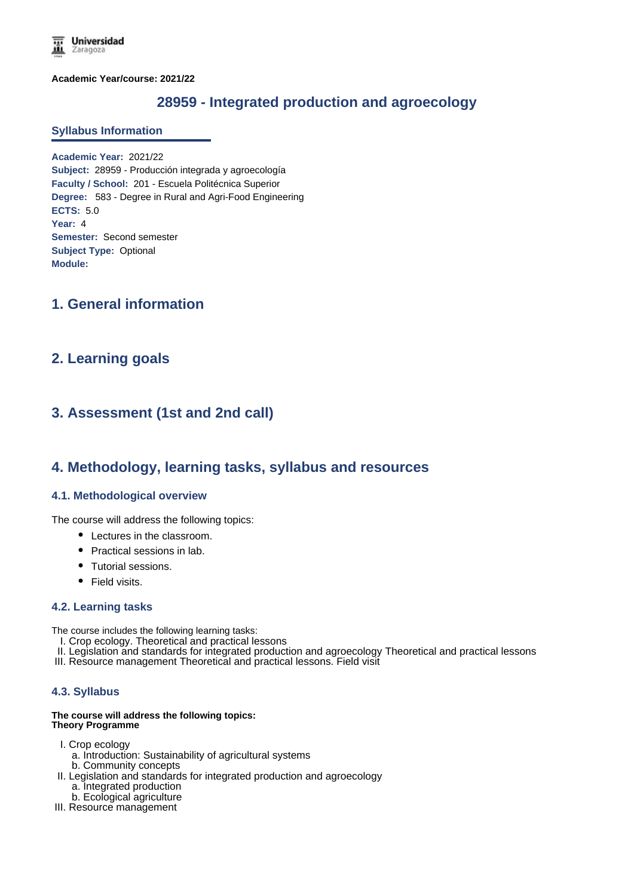**Academic Year/course: 2021/22**

# **28959 - Integrated production and agroecology**

#### **Syllabus Information**

**Academic Year:** 2021/22 **Subject:** 28959 - Producción integrada y agroecología **Faculty / School:** 201 - Escuela Politécnica Superior **Degree:** 583 - Degree in Rural and Agri-Food Engineering **ECTS:** 5.0 **Year:** 4 **Semester:** Second semester **Subject Type:** Optional **Module:**

## **1. General information**

## **2. Learning goals**

# **3. Assessment (1st and 2nd call)**

### **4. Methodology, learning tasks, syllabus and resources**

### **4.1. Methodological overview**

The course will address the following topics:

- Lectures in the classroom.
- Practical sessions in lab.
- Tutorial sessions.
- Field visits.

#### **4.2. Learning tasks**

The course includes the following learning tasks:

- I. Crop ecology. Theoretical and practical lessons
- II. Legislation and standards for integrated production and agroecology Theoretical and practical lessons
- III. Resource management Theoretical and practical lessons. Field visit

### **4.3. Syllabus**

#### **The course will address the following topics: Theory Programme**

- I. Crop ecology
	- a. Introduction: Sustainability of agricultural systems b. Community concepts
- II. Legislation and standards for integrated production and agroecology
	- a. Integrated production
	- b. Ecological agriculture
- III. Resource management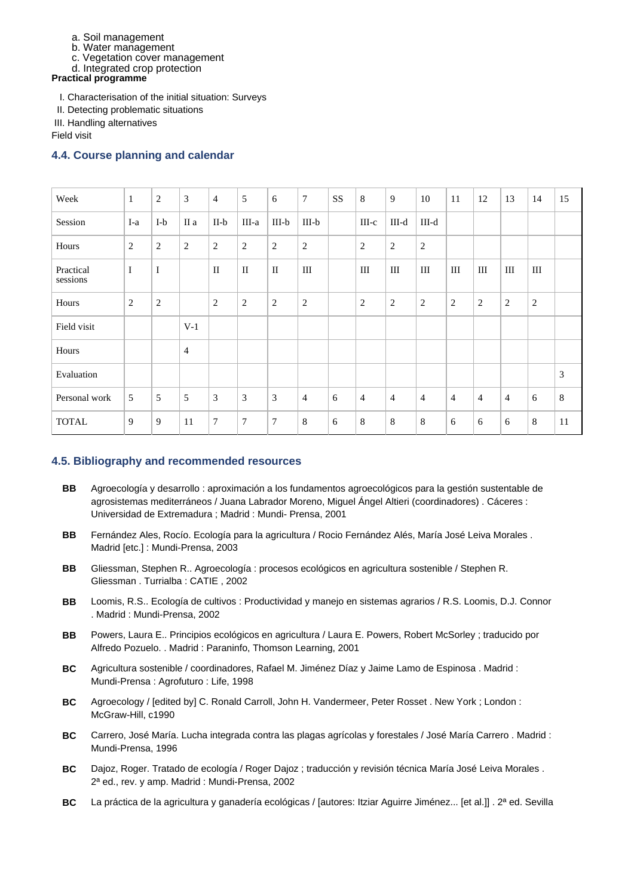- a. Soil management
- b. Water management
- c. Vegetation cover management
- d. Integrated crop protection

**Practical programme**

- I. Characterisation of the initial situation: Surveys
- II. Detecting problematic situations
- III. Handling alternatives

Field visit

### **4.4. Course planning and calendar**

| Week                  | $\mathbf{1}$   | $\overline{c}$ | 3              | $\overline{4}$ | 5              | 6              | $\tau$         | SS | 8              | 9              | 10             | 11             | 12             | 13             | 14               | 15    |
|-----------------------|----------------|----------------|----------------|----------------|----------------|----------------|----------------|----|----------------|----------------|----------------|----------------|----------------|----------------|------------------|-------|
| Session               | I-a            | $I-b$          | II a           | $II-b$         | III-a          | $III-b$        | $III-b$        |    | $III-c$        | $III-d$        | III-d          |                |                |                |                  |       |
| Hours                 | $\overline{2}$ | $\overline{c}$ | $\overline{2}$ | $\overline{2}$ | $\mathbf{2}$   | $\sqrt{2}$     | $\sqrt{2}$     |    | $\sqrt{2}$     | $\overline{c}$ | $\overline{2}$ |                |                |                |                  |       |
| Practical<br>sessions | $\mathbf I$    | $\bf I$        |                | $\mathbf{I}$   | $\mathbf{I}$   | $\mathbf{I}$   | III            |    | Ш              | Ш              | $\rm III$      | III            | III            | III            | III              |       |
| Hours                 | $\overline{2}$ | $\overline{c}$ |                | $\overline{2}$ | $\mathbf{2}$   | $\overline{2}$ | $\mathbf{2}$   |    | $\overline{2}$ | $\overline{c}$ | $\overline{2}$ | 2              | $\overline{c}$ | $\sqrt{2}$     | $\boldsymbol{2}$ |       |
| Field visit           |                |                | $V-1$          |                |                |                |                |    |                |                |                |                |                |                |                  |       |
| Hours                 |                |                | 4              |                |                |                |                |    |                |                |                |                |                |                |                  |       |
| Evaluation            |                |                |                |                |                |                |                |    |                |                |                |                |                |                |                  | 3     |
| Personal work         | 5              | 5              | 5              | 3              | 3              | 3              | $\overline{4}$ | 6  | $\overline{4}$ | 4              | $\overline{4}$ | $\overline{4}$ | $\overline{4}$ | $\overline{4}$ | 6                | $8\,$ |
| <b>TOTAL</b>          | 9              | 9              | 11             | $\tau$         | $\overline{7}$ | 7              | 8              | 6  | 8              | 8              | 8              | 6              | 6              | 6              | 8                | 11    |

### **4.5. Bibliography and recommended resources**

- **BB** Agroecología y desarrollo : aproximación a los fundamentos agroecológicos para la gestión sustentable de agrosistemas mediterráneos / Juana Labrador Moreno, Miguel Ángel Altieri (coordinadores) . Cáceres : Universidad de Extremadura ; Madrid : Mundi- Prensa, 2001
- **BB** Fernández Ales, Rocío. Ecología para la agricultura / Rocio Fernández Alés, María José Leiva Morales . Madrid [etc.] : Mundi-Prensa, 2003
- **BB** Gliessman, Stephen R.. Agroecología : procesos ecológicos en agricultura sostenible / Stephen R. Gliessman . Turrialba : CATIE , 2002
- **BB** Loomis, R.S.. Ecología de cultivos : Productividad y manejo en sistemas agrarios / R.S. Loomis, D.J. Connor . Madrid : Mundi-Prensa, 2002
- **BB** Powers, Laura E.. Principios ecológicos en agricultura / Laura E. Powers, Robert McSorley ; traducido por Alfredo Pozuelo. . Madrid : Paraninfo, Thomson Learning, 2001
- **BC** Agricultura sostenible / coordinadores, Rafael M. Jiménez Díaz y Jaime Lamo de Espinosa . Madrid : Mundi-Prensa : Agrofuturo : Life, 1998
- **BC** Agroecology / [edited by] C. Ronald Carroll, John H. Vandermeer, Peter Rosset . New York ; London : McGraw-Hill, c1990
- **BC** Carrero, José María. Lucha integrada contra las plagas agrícolas y forestales / José María Carrero . Madrid : Mundi-Prensa, 1996
- **BC** Dajoz, Roger. Tratado de ecología / Roger Dajoz ; traducción y revisión técnica María José Leiva Morales . 2ª ed., rev. y amp. Madrid : Mundi-Prensa, 2002
- **BC** La práctica de la agricultura y ganadería ecológicas / [autores: Itziar Aguirre Jiménez... [et al.]] . 2ª ed. Sevilla